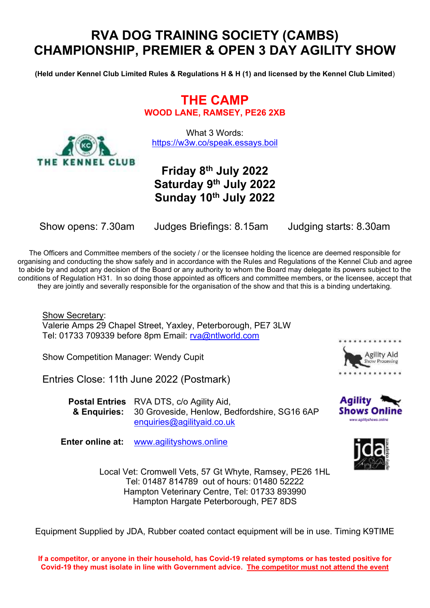# **RVA DOG TRAINING SOCIETY (CAMBS) CHAMPIONSHIP, PREMIER & OPEN 3 DAY AGILITY SHOW**

**(Held under Kennel Club Limited Rules & Regulations H & H (1) and licensed by the Kennel Club Limited**)

**THE CAMP WOOD LANE, RAMSEY, PE26 2XB**

What 3 Words: <https://w3w.co/speak.essays.boil>

# **Friday 8th July 2022 Saturday 9th July 2022 Sunday 10th July 2022**

THE KENNEL CLUB

Show opens: 7.30am Judges Briefings: 8.15am Judging starts: 8.30am

The Officers and Committee members of the society / or the licensee holding the licence are deemed responsible for organising and conducting the show safely and in accordance with the Rules and Regulations of the Kennel Club and agree to abide by and adopt any decision of the Board or any authority to whom the Board may delegate its powers subject to the conditions of Regulation H31. In so doing those appointed as officers and committee members, or the licensee, accept that they are jointly and severally responsible for the organisation of the show and that this is a binding undertaking.

Show Secretary: Valerie Amps 29 Chapel Street, Yaxley, Peterborough, PE7 3LW Tel: 01733 709339 before 8pm Email: [rva@ntlworld.com](mailto:rva@ntlworld.com)

Show Competition Manager: Wendy Cupit

Entries Close: 11th June 2022 (Postmark)

**Postal Entries** RVA DTS, c/o Agility Aid, **& Enquiries:** 30 Groveside, Henlow, Bedfordshire, SG16 6AP [enquiries@agilityaid.co.uk](mailto:enquiries@agilityaid.co.uk)

**Enter online at:** [www.agilityshows.online](http://www.agilityshows.online/) 







Local Vet: Cromwell Vets, 57 Gt Whyte, Ramsey, PE26 1HL Tel: 01487 814789 out of hours: 01480 52222 Hampton Veterinary Centre, Tel: 01733 893990 Hampton Hargate Peterborough, PE7 8DS

Equipment Supplied by JDA, Rubber coated contact equipment will be in use. Timing K9TIME

**If a competitor, or anyone in their household, has Covid-19 related symptoms or has tested positive for Covid-19 they must isolate in line with Government advice. The competitor must not attend the event**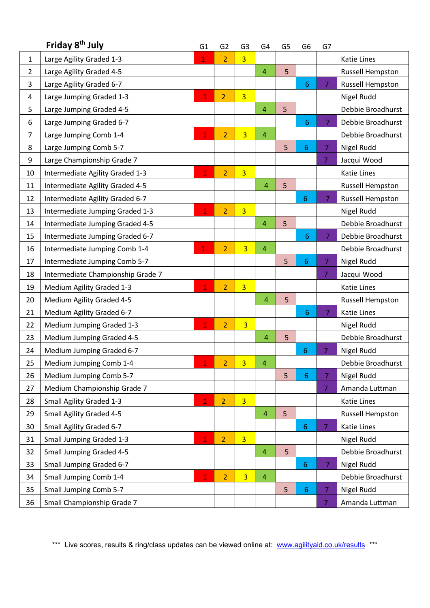|                | Friday 8 <sup>th</sup> July       |                | G <sub>2</sub>           | G <sub>3</sub> | G4             | G <sub>5</sub> | G <sub>6</sub>  | G7             |                    |
|----------------|-----------------------------------|----------------|--------------------------|----------------|----------------|----------------|-----------------|----------------|--------------------|
| $\mathbf 1$    | Large Agility Graded 1-3          | $\mathbf{1}$   | $\overline{2}$           | 3 <sup>1</sup> |                |                |                 |                | <b>Katie Lines</b> |
| $\overline{2}$ | Large Agility Graded 4-5          |                |                          |                | 4              | 5              |                 |                | Russell Hempston   |
| 3              | Large Agility Graded 6-7          |                |                          |                |                |                | 6               | 7              | Russell Hempston   |
| 4              | Large Jumping Graded 1-3          | $\mathbf{1}$   | $\overline{2}$           | $\overline{3}$ |                |                |                 |                | Nigel Rudd         |
| 5              | Large Jumping Graded 4-5          |                |                          |                | $\overline{4}$ | 5              |                 |                | Debbie Broadhurst  |
| 6              | Large Jumping Graded 6-7          |                |                          |                |                |                | 6               | $\overline{7}$ | Debbie Broadhurst  |
| $\overline{7}$ | Large Jumping Comb 1-4            | $\mathbf{1}$   | $\overline{2}$           | $\overline{3}$ | $\overline{4}$ |                |                 |                | Debbie Broadhurst  |
| 8              | Large Jumping Comb 5-7            |                |                          |                |                | 5              | 6               | $\overline{7}$ | Nigel Rudd         |
| 9              | Large Championship Grade 7        |                |                          |                |                |                |                 | $\overline{7}$ | Jacqui Wood        |
| 10             | Intermediate Agility Graded 1-3   | $\mathbf{1}$   | $\overline{2}$           | $\overline{3}$ |                |                |                 |                | <b>Katie Lines</b> |
| 11             | Intermediate Agility Graded 4-5   |                |                          |                | 4              | 5              |                 |                | Russell Hempston   |
| 12             | Intermediate Agility Graded 6-7   |                |                          |                |                |                | $6\phantom{1}6$ | 7 <sup>1</sup> | Russell Hempston   |
| 13             | Intermediate Jumping Graded 1-3   | $\overline{1}$ | $\overline{2}$           | $\overline{3}$ |                |                |                 |                | Nigel Rudd         |
| 14             | Intermediate Jumping Graded 4-5   |                |                          |                | 4              | 5              |                 |                | Debbie Broadhurst  |
| 15             | Intermediate Jumping Graded 6-7   |                |                          |                |                |                | 6               | $\overline{7}$ | Debbie Broadhurst  |
| 16             | Intermediate Jumping Comb 1-4     | $\mathbf{1}$   | $\overline{2}$           | $\overline{3}$ | 4              |                |                 |                | Debbie Broadhurst  |
| 17             | Intermediate Jumping Comb 5-7     |                |                          |                |                | 5              | 6               | $\overline{7}$ | Nigel Rudd         |
| 18             | Intermediate Championship Grade 7 |                |                          |                |                |                |                 | $\overline{7}$ | Jacqui Wood        |
| 19             | Medium Agility Graded 1-3         | $\overline{1}$ | $\overline{2}$           | $\overline{3}$ |                |                |                 |                | <b>Katie Lines</b> |
| 20             | Medium Agility Graded 4-5         |                |                          |                | $\overline{4}$ | 5              |                 |                | Russell Hempston   |
| 21             | Medium Agility Graded 6-7         |                |                          |                |                |                | 6               | $\overline{7}$ | <b>Katie Lines</b> |
| 22             | Medium Jumping Graded 1-3         | $\mathbf{1}$   | $\overline{2}$           | $\overline{3}$ |                |                |                 |                | Nigel Rudd         |
| 23             | Medium Jumping Graded 4-5         |                |                          |                | 4              | 5              |                 |                | Debbie Broadhurst  |
| 24             | Medium Jumping Graded 6-7         |                |                          |                |                |                | 6               | 7              | Nigel Rudd         |
| 25             | Medium Jumping Comb 1-4           | 1              | $\overline{\phantom{a}}$ | $\overline{3}$ | 4              |                |                 |                | Debbie Broadhurst  |
| 26             | Medium Jumping Comb 5-7           |                |                          |                |                | 5              | $6\phantom{1}$  | 7              | Nigel Rudd         |
| 27             | Medium Championship Grade 7       |                |                          |                |                |                |                 | 7              | Amanda Luttman     |
| 28             | <b>Small Agility Graded 1-3</b>   | 1              | $\overline{2}$           | $\overline{3}$ |                |                |                 |                | Katie Lines        |
| 29             | <b>Small Agility Graded 4-5</b>   |                |                          |                | 4              | 5              |                 |                | Russell Hempston   |
| 30             | Small Agility Graded 6-7          |                |                          |                |                |                | 6               | 7              | Katie Lines        |
| 31             | <b>Small Jumping Graded 1-3</b>   | $\mathbf{1}$   | $\overline{2}$           | $\overline{3}$ |                |                |                 |                | Nigel Rudd         |
| 32             | <b>Small Jumping Graded 4-5</b>   |                |                          |                | $\overline{4}$ | 5              |                 |                | Debbie Broadhurst  |
| 33             | Small Jumping Graded 6-7          |                |                          |                |                |                | $6\phantom{1}6$ | $\overline{7}$ | Nigel Rudd         |
| 34             | Small Jumping Comb 1-4            | 1              | $\overline{2}$           | $\overline{3}$ | $\overline{4}$ |                |                 |                | Debbie Broadhurst  |
| 35             | <b>Small Jumping Comb 5-7</b>     |                |                          |                |                | 5              | 6               | $\overline{7}$ | Nigel Rudd         |
| 36             | Small Championship Grade 7        |                |                          |                |                |                |                 | 7              | Amanda Luttman     |

\*\*\* Live scores, results & ring/class updates can be viewed online at: [www.agilityaid.co.uk/results](http://www.agilityaid.co.uk/results) \*\*\*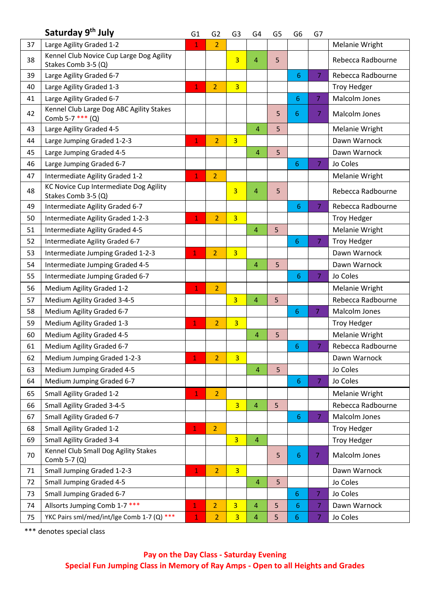|    | Saturday 9 <sup>th</sup> July                                   | G1           | G <sub>2</sub> | G3             | G4             | G5 | G6         | G7             |                       |
|----|-----------------------------------------------------------------|--------------|----------------|----------------|----------------|----|------------|----------------|-----------------------|
| 37 | Large Agility Graded 1-2                                        | $\mathbf{1}$ | $\overline{2}$ |                |                |    |            |                | Melanie Wright        |
| 38 | Kennel Club Novice Cup Large Dog Agility<br>Stakes Comb 3-5 (Q) |              |                | $\overline{3}$ | 4              | 5  |            |                | Rebecca Radbourne     |
| 39 | Large Agility Graded 6-7                                        |              |                |                |                |    | 6          | 7              | Rebecca Radbourne     |
| 40 | Large Agility Graded 1-3                                        | $\mathbf{1}$ | $\overline{2}$ | $\overline{3}$ |                |    |            |                | <b>Troy Hedger</b>    |
| 41 | Large Agility Graded 6-7                                        |              |                |                |                |    | $\sqrt{6}$ | 7              | Malcolm Jones         |
| 42 | Kennel Club Large Dog ABC Agility Stakes<br>Comb 5-7 *** (Q)    |              |                |                |                | 5  | 6          | $\overline{7}$ | Malcolm Jones         |
| 43 | Large Agility Graded 4-5                                        |              |                |                | $\overline{4}$ | 5  |            |                | Melanie Wright        |
| 44 | Large Jumping Graded 1-2-3                                      | $\mathbf{1}$ | $\overline{2}$ | $\overline{3}$ |                |    |            |                | Dawn Warnock          |
| 45 | Large Jumping Graded 4-5                                        |              |                |                | $\overline{4}$ | 5  |            |                | Dawn Warnock          |
| 46 | Large Jumping Graded 6-7                                        |              |                |                |                |    | 6          | 7              | Jo Coles              |
| 47 | Intermediate Agility Graded 1-2                                 | $\mathbf{1}$ | $\overline{2}$ |                |                |    |            |                | Melanie Wright        |
| 48 | KC Novice Cup Intermediate Dog Agility<br>Stakes Comb 3-5 (Q)   |              |                | 3              | 4              | 5  |            |                | Rebecca Radbourne     |
| 49 | Intermediate Agility Graded 6-7                                 |              |                |                |                |    | 6          | $\overline{7}$ | Rebecca Radbourne     |
| 50 | Intermediate Agility Graded 1-2-3                               | $\mathbf{1}$ | $\overline{2}$ | $\overline{3}$ |                |    |            |                | <b>Troy Hedger</b>    |
| 51 | Intermediate Agility Graded 4-5                                 |              |                |                | $\overline{4}$ | 5  |            |                | Melanie Wright        |
| 52 | Intermediate Agility Graded 6-7                                 |              |                |                |                |    | 6          | $\overline{7}$ | <b>Troy Hedger</b>    |
| 53 | Intermediate Jumping Graded 1-2-3                               | $\mathbf 1$  | $\overline{2}$ | $\overline{3}$ |                |    |            |                | Dawn Warnock          |
| 54 | Intermediate Jumping Graded 4-5                                 |              |                |                | $\overline{4}$ | 5  |            |                | Dawn Warnock          |
| 55 | Intermediate Jumping Graded 6-7                                 |              |                |                |                |    | 6          | $\overline{7}$ | Jo Coles              |
| 56 | Medium Agility Graded 1-2                                       |              | $\overline{2}$ |                |                |    |            |                | <b>Melanie Wright</b> |
| 57 | Medium Agility Graded 3-4-5                                     |              |                | $\overline{3}$ | $\overline{4}$ | 5  |            |                | Rebecca Radbourne     |
| 58 | Medium Agility Graded 6-7                                       |              |                |                |                |    | 6          | $\overline{7}$ | Malcolm Jones         |
| 59 | Medium Agility Graded 1-3                                       | $\mathbf{1}$ | $\overline{2}$ | $\overline{3}$ |                |    |            |                | <b>Troy Hedger</b>    |
| 60 | Medium Agility Graded 4-5                                       |              |                |                | 4              | 5  |            |                | Melanie Wright        |
| 61 | Medium Agility Graded 6-7                                       |              |                |                |                |    | 6.         | $\overline{7}$ | Rebecca Radbourne     |
| 62 | Medium Jumping Graded 1-2-3                                     | $\mathbf 1$  | $\overline{2}$ | $\overline{3}$ |                |    |            |                | Dawn Warnock          |
| 63 | Medium Jumping Graded 4-5                                       |              |                |                | $\overline{4}$ | 5  |            |                | Jo Coles              |
| 64 | Medium Jumping Graded 6-7                                       |              |                |                |                |    | 6          | $\overline{7}$ | Jo Coles              |
| 65 | Small Agility Graded 1-2                                        | $\mathbf{1}$ | $\overline{2}$ |                |                |    |            |                | Melanie Wright        |
| 66 | Small Agility Graded 3-4-5                                      |              |                | $\overline{3}$ | 4              | 5  |            |                | Rebecca Radbourne     |
| 67 | Small Agility Graded 6-7                                        |              |                |                |                |    | 6          | $\overline{7}$ | Malcolm Jones         |
| 68 | Small Agility Graded 1-2                                        | $\mathbf{1}$ | $\overline{2}$ |                |                |    |            |                | <b>Troy Hedger</b>    |
| 69 | <b>Small Agility Graded 3-4</b>                                 |              |                | $\overline{3}$ | 4              |    |            |                | <b>Troy Hedger</b>    |
| 70 | Kennel Club Small Dog Agility Stakes<br>Comb 5-7 (Q)            |              |                |                |                | 5  | 6          | $\overline{7}$ | Malcolm Jones         |
| 71 | Small Jumping Graded 1-2-3                                      | $\mathbf 1$  | $\overline{2}$ | $\overline{3}$ |                |    |            |                | Dawn Warnock          |
| 72 | <b>Small Jumping Graded 4-5</b>                                 |              |                |                | 4              | 5  |            |                | Jo Coles              |
| 73 | Small Jumping Graded 6-7                                        |              |                |                |                |    | 6          | $\overline{7}$ | Jo Coles              |
| 74 | Allsorts Jumping Comb 1-7 ***                                   | $\mathbf{1}$ | $\overline{2}$ | $\overline{3}$ | 4              | 5  | 6          | 7              | Dawn Warnock          |
| 75 | YKC Pairs sml/med/int/lge Comb 1-7 (Q) ***                      | $\mathbf{1}$ | $\overline{2}$ | $\overline{3}$ | 4              | 5  | 6          | 7              | Jo Coles              |

\*\*\* denotes special class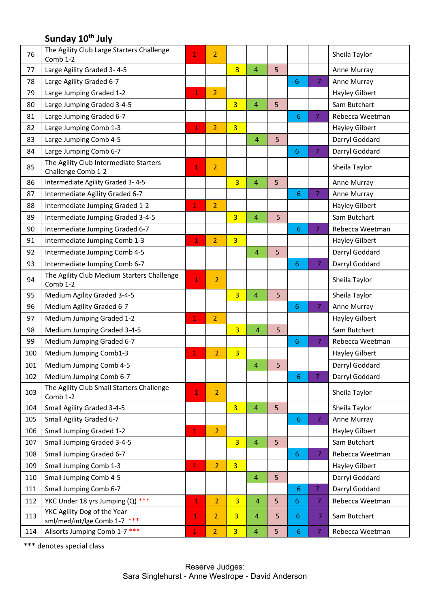## **Sunday 10 th July**

| 76  | The Agility Club Large Starters Challenge<br>Comb 1-2        | $\mathbf{1}$   | $\overline{2}$ |                |                |   |                 |                | Sheila Taylor         |
|-----|--------------------------------------------------------------|----------------|----------------|----------------|----------------|---|-----------------|----------------|-----------------------|
| 77  | Large Agility Graded 3-4-5                                   |                |                | $\overline{3}$ | $\overline{4}$ | 5 |                 |                | Anne Murray           |
| 78  | Large Agility Graded 6-7                                     |                |                |                |                |   | $6\phantom{1}$  | $\overline{7}$ | Anne Murray           |
| 79  | Large Jumping Graded 1-2                                     | $\mathbf{1}$   | $\overline{2}$ |                |                |   |                 |                | <b>Hayley Gilbert</b> |
| 80  | Large Jumping Graded 3-4-5                                   |                |                | $\overline{3}$ | 4              | 5 |                 |                | Sam Butchart          |
| 81  | Large Jumping Graded 6-7                                     |                |                |                |                |   | 6               | $\overline{7}$ | Rebecca Weetman       |
| 82  | Large Jumping Comb 1-3                                       | $\mathbf{1}$   | $\overline{2}$ | $\overline{3}$ |                |   |                 |                | <b>Hayley Gilbert</b> |
| 83  | Large Jumping Comb 4-5                                       |                |                |                | $\overline{4}$ | 5 |                 |                | Darryl Goddard        |
| 84  | Large Jumping Comb 6-7                                       |                |                |                |                |   | $6\phantom{1}6$ | $\overline{7}$ | Darryl Goddard        |
| 85  | The Agility Club Intermediate Starters<br>Challenge Comb 1-2 | $\mathbf{1}$   | $\overline{2}$ |                |                |   |                 |                | Sheila Taylor         |
| 86  | Intermediate Agility Graded 3-4-5                            |                |                | $\overline{3}$ | 4              | 5 |                 |                | Anne Murray           |
| 87  | Intermediate Agility Graded 6-7                              |                |                |                |                |   | 6               | $\overline{7}$ | Anne Murray           |
| 88  | Intermediate Jumping Graded 1-2                              | $\mathbf 1$    | $\overline{2}$ |                |                |   |                 |                | <b>Hayley Gilbert</b> |
| 89  | Intermediate Jumping Graded 3-4-5                            |                |                | $\overline{3}$ | 4              | 5 |                 |                | Sam Butchart          |
| 90  | Intermediate Jumping Graded 6-7                              |                |                |                |                |   | 6               | $\overline{7}$ | Rebecca Weetman       |
| 91  | Intermediate Jumping Comb 1-3                                | $\mathbf{1}$   | $\overline{2}$ | $\overline{3}$ |                |   |                 |                | <b>Hayley Gilbert</b> |
| 92  | Intermediate Jumping Comb 4-5                                |                |                |                | $\overline{4}$ | 5 |                 |                | Darryl Goddard        |
| 93  | Intermediate Jumping Comb 6-7                                |                |                |                |                |   | 6               | $\overline{7}$ | Darryl Goddard        |
| 94  | The Agility Club Medium Starters Challenge<br>Comb 1-2       | $\mathbf{1}$   | $\overline{2}$ |                |                |   |                 |                | Sheila Taylor         |
| 95  | Medium Agility Graded 3-4-5                                  |                |                | $\overline{3}$ | 4              | 5 |                 |                | Sheila Taylor         |
| 96  | Medium Agility Graded 6-7                                    |                |                |                |                |   | $6\phantom{1}$  | $\overline{7}$ | Anne Murray           |
| 97  | Medium Jumping Graded 1-2                                    | $\mathbf 1$    | $\overline{2}$ |                |                |   |                 |                | <b>Hayley Gilbert</b> |
| 98  | Medium Jumping Graded 3-4-5                                  |                |                | $\overline{3}$ | 4              | 5 |                 |                | Sam Butchart          |
| 99  | Medium Jumping Graded 6-7                                    |                |                |                |                |   | 6               | $\overline{7}$ | Rebecca Weetman       |
| 100 | Medium Jumping Comb1-3                                       | $\mathbf{1}$   | $\overline{2}$ | $\overline{3}$ |                |   |                 |                | <b>Hayley Gilbert</b> |
| 101 | Medium Jumping Comb 4-5                                      |                |                |                | 4              | 5 |                 |                | Darryl Goddard        |
| 102 | Medium Jumping Comb 6-7                                      |                |                |                |                |   | 6               | $\overline{7}$ | Darryl Goddard        |
| 103 | The Agility Club Small Starters Challenge<br>Comb 1-2        | $\overline{1}$ | $\overline{2}$ |                |                |   |                 |                | Sheila Taylor         |
| 104 | Small Agility Graded 3-4-5                                   |                |                | $\overline{3}$ | $\overline{4}$ | 5 |                 |                | Sheila Taylor         |
| 105 | Small Agility Graded 6-7                                     |                |                |                |                |   | 6               | $\overline{7}$ | Anne Murray           |
| 106 | <b>Small Jumping Graded 1-2</b>                              | $\mathbf 1$    | $\overline{2}$ |                |                |   |                 |                | <b>Hayley Gilbert</b> |
| 107 | Small Jumping Graded 3-4-5                                   |                |                | $\overline{3}$ | 4              | 5 |                 |                | Sam Butchart          |
| 108 | Small Jumping Graded 6-7                                     |                |                |                |                |   | 6               | 7              | Rebecca Weetman       |
| 109 | Small Jumping Comb 1-3                                       |                | $\overline{2}$ | $\overline{3}$ |                |   |                 |                | <b>Hayley Gilbert</b> |
| 110 | Small Jumping Comb 4-5                                       |                |                |                | 4              | 5 |                 |                | Darryl Goddard        |
| 111 | Small Jumping Comb 6-7                                       |                |                |                |                |   | 6               | $\overline{7}$ | Darryl Goddard        |
| 112 | YKC Under 18 yrs Jumping (Q) ***                             | 1              | $\overline{2}$ | $\overline{3}$ | $\overline{4}$ | 5 | 6               | 7              | Rebecca Weetman       |
| 113 | YKC Agility Dog of the Year<br>sml/med/int/lge Comb 1-7 ***  | $\mathbf{1}$   | $\overline{2}$ | $\overline{3}$ | $\overline{4}$ | 5 | 6               | 7              | Sam Butchart          |
| 114 | Allsorts Jumping Comb 1-7 ***                                | $\mathbf{1}$   | $\overline{2}$ | $\overline{3}$ | 4              | 5 | 6               | 7              | Rebecca Weetman       |

\*\*\* denotes special class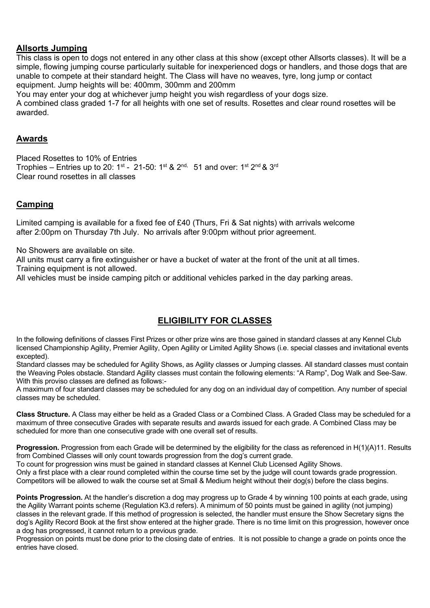### **Allsorts Jumping**

This class is open to dogs not entered in any other class at this show (except other Allsorts classes). It will be a simple, flowing jumping course particularly suitable for inexperienced dogs or handlers, and those dogs that are unable to compete at their standard height. The Class will have no weaves, tyre, long jump or contact equipment. Jump heights will be: 400mm, 300mm and 200mm

You may enter your dog at whichever jump height you wish regardless of your dogs size.

A combined class graded 1-7 for all heights with one set of results. Rosettes and clear round rosettes will be awarded.

### **Awards**

Placed Rosettes to 10% of Entries Trophies – Entries up to 20: 1<sup>st</sup> - 21-50: 1<sup>st</sup> & 2<sup>nd,</sup> 51 and over: 1<sup>st</sup> 2<sup>nd</sup> & 3<sup>rd</sup> Clear round rosettes in all classes

## **Camping**

Limited camping is available for a fixed fee of £40 (Thurs, Fri & Sat nights) with arrivals welcome after 2:00pm on Thursday 7th July. No arrivals after 9:00pm without prior agreement.

No Showers are available on site.

All units must carry a fire extinguisher or have a bucket of water at the front of the unit at all times. Training equipment is not allowed.

All vehicles must be inside camping pitch or additional vehicles parked in the day parking areas.

## **ELIGIBILITY FOR CLASSES**

In the following definitions of classes First Prizes or other prize wins are those gained in standard classes at any Kennel Club licensed Championship Agility, Premier Agility, Open Agility or Limited Agility Shows (i.e. special classes and invitational events excepted).

Standard classes may be scheduled for Agility Shows, as Agility classes or Jumping classes. All standard classes must contain the Weaving Poles obstacle. Standard Agility classes must contain the following elements: "A Ramp", Dog Walk and See-Saw. With this proviso classes are defined as follows:-

A maximum of four standard classes may be scheduled for any dog on an individual day of competition. Any number of special classes may be scheduled.

**Class Structure.** A Class may either be held as a Graded Class or a Combined Class. A Graded Class may be scheduled for a maximum of three consecutive Grades with separate results and awards issued for each grade. A Combined Class may be scheduled for more than one consecutive grade with one overall set of results.

**Progression.** Progression from each Grade will be determined by the eligibility for the class as referenced in H(1)(A)11. Results from Combined Classes will only count towards progression from the dog's current grade.

To count for progression wins must be gained in standard classes at Kennel Club Licensed Agility Shows.

Only a first place with a clear round completed within the course time set by the judge will count towards grade progression. Competitors will be allowed to walk the course set at Small & Medium height without their dog(s) before the class begins.

**Points Progression.** At the handler's discretion a dog may progress up to Grade 4 by winning 100 points at each grade, using the Agility Warrant points scheme (Regulation K3.d refers). A minimum of 50 points must be gained in agility (not jumping) classes in the relevant grade. If this method of progression is selected, the handler must ensure the Show Secretary signs the dog's Agility Record Book at the first show entered at the higher grade. There is no time limit on this progression, however once a dog has progressed, it cannot return to a previous grade.

Progression on points must be done prior to the closing date of entries. It is not possible to change a grade on points once the entries have closed.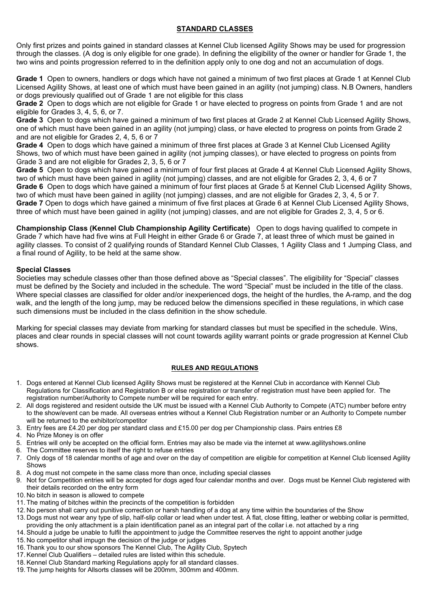### **STANDARD CLASSES**

Only first prizes and points gained in standard classes at Kennel Club licensed Agility Shows may be used for progression through the classes. (A dog is only eligible for one grade). In defining the eligibility of the owner or handler for Grade 1, the two wins and points progression referred to in the definition apply only to one dog and not an accumulation of dogs.

**Grade 1** Open to owners, handlers or dogs which have not gained a minimum of two first places at Grade 1 at Kennel Club Licensed Agility Shows, at least one of which must have been gained in an agility (not jumping) class. N.B Owners, handlers or dogs previously qualified out of Grade 1 are not eligible for this class

**Grade 2** Open to dogs which are not eligible for Grade 1 or have elected to progress on points from Grade 1 and are not eligible for Grades 3, 4, 5, 6, or 7.

**Grade 3** Open to dogs which have gained a minimum of two first places at Grade 2 at Kennel Club Licensed Agility Shows, one of which must have been gained in an agility (not jumping) class, or have elected to progress on points from Grade 2 and are not eligible for Grades 2, 4, 5, 6 or 7

**Grade 4** Open to dogs which have gained a minimum of three first places at Grade 3 at Kennel Club Licensed Agility Shows, two of which must have been gained in agility (not jumping classes), or have elected to progress on points from Grade 3 and are not eligible for Grades 2, 3, 5, 6 or 7

**Grade 5** Open to dogs which have gained a minimum of four first places at Grade 4 at Kennel Club Licensed Agility Shows, two of which must have been gained in agility (not jumping) classes, and are not eligible for Grades 2, 3, 4, 6 or 7 **Grade 6** Open to dogs which have gained a minimum of four first places at Grade 5 at Kennel Club Licensed Agility Shows, two of which must have been gained in agility (not jumping) classes, and are not eligible for Grades 2, 3, 4, 5 or 7. **Grade 7** Open to dogs which have gained a minimum of five first places at Grade 6 at Kennel Club Licensed Agility Shows, three of which must have been gained in agility (not jumping) classes, and are not eligible for Grades 2, 3, 4, 5 or 6.

**Championship Class (Kennel Club Championship Agility Certificate)** Open to dogs having qualified to compete in Grade 7 which have had five wins at Full Height in either Grade 6 or Grade 7, at least three of which must be gained in agility classes. To consist of 2 qualifying rounds of Standard Kennel Club Classes, 1 Agility Class and 1 Jumping Class, and a final round of Agility, to be held at the same show.

#### **Special Classes**

Societies may schedule classes other than those defined above as "Special classes". The eligibility for "Special" classes must be defined by the Society and included in the schedule. The word "Special" must be included in the title of the class. Where special classes are classified for older and/or inexperienced dogs, the height of the hurdles, the A-ramp, and the dog walk, and the length of the long jump, may be reduced below the dimensions specified in these regulations, in which case such dimensions must be included in the class definition in the show schedule.

Marking for special classes may deviate from marking for standard classes but must be specified in the schedule. Wins, places and clear rounds in special classes will not count towards agility warrant points or grade progression at Kennel Club shows.

#### **RULES AND REGULATIONS**

- 1. Dogs entered at Kennel Club licensed Agility Shows must be registered at the Kennel Club in accordance with Kennel Club Regulations for Classification and Registration B or else registration or transfer of registration must have been applied for. The registration number/Authority to Compete number will be required for each entry.
- 2. All dogs registered and resident outside the UK must be issued with a Kennel Club Authority to Compete (ATC) number before entry to the show/event can be made. All overseas entries without a Kennel Club Registration number or an Authority to Compete number will be returned to the exhibitor/competitor
- 3. Entry fees are £4.20 per dog per standard class and £15.00 per dog per Championship class. Pairs entries £8
- 4. No Prize Money is on offer
- 5. Entries will only be accepted on the official form. Entries may also be made via the internet at www.agilityshows.online
- 6. The Committee reserves to itself the right to refuse entries
- 7. Only dogs of 18 calendar months of age and over on the day of competition are eligible for competition at Kennel Club licensed Agility Shows
- 8. A dog must not compete in the same class more than once, including special classes
- Not for Competition entries will be accepted for dogs aged four calendar months and over. Dogs must be Kennel Club registered with their details recorded on the entry form
- 10. No bitch in season is allowed to compete
- 11. The mating of bitches within the precincts of the competition is forbidden
- 12. No person shall carry out punitive correction or harsh handling of a dog at any time within the boundaries of the Show
- 13. Dogs must not wear any type of slip, half-slip collar or lead when under test. A flat, close fitting, leather or webbing collar is permitted, providing the only attachment is a plain identification panel as an integral part of the collar i.e. not attached by a ring
- 14. Should a judge be unable to fulfil the appointment to judge the Committee reserves the right to appoint another judge
- 15. No competitor shall impugn the decision of the judge or judges
- 16. Thank you to our show sponsors The Kennel Club, The Agility Club, Spytech
- 17. Kennel Club Qualifiers detailed rules are listed within this schedule.
- 18. Kennel Club Standard marking Regulations apply for all standard classes.
- 19. The jump heights for Allsorts classes will be 200mm, 300mm and 400mm.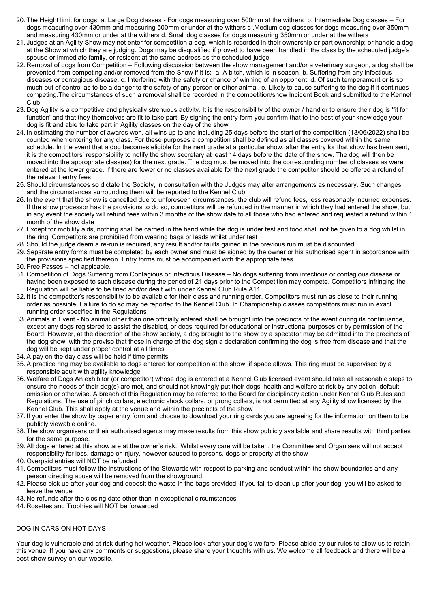- 20. The Height limit for dogs: a. Large Dog classes For dogs measuring over 500mm at the withers b. Intermediate Dog classes For dogs measuring over 430mm and measuring 500mm or under at the withers c .Medium dog classes for dogs measuring over 350mm and measuring 430mm or under at the withers d. Small dog classes for dogs measuring 350mm or under at the withers
- 21. Judges at an Agility Show may not enter for competition a dog, which is recorded in their ownership or part ownership; or handle a dog at the Show at which they are judging. Dogs may be disqualified if proved to have been handled in the class by the scheduled judge's spouse or immediate family, or resident at the same address as the scheduled judge
- 22. Removal of dogs from Competition Following discussion between the show management and/or a veterinary surgeon, a dog shall be prevented from competing and/or removed from the Show if it is:- a. A bitch, which is in season. b. Suffering from any infectious diseases or contagious disease. c. Interfering with the safety or chance of winning of an opponent. d. Of such temperament or is so much out of control as to be a danger to the safety of any person or other animal. e. Likely to cause suffering to the dog if it continues competing.The circumstances of such a removal shall be recorded in the competition/show Incident Book and submitted to the Kennel Club
- 23. Dog Agility is a competitive and physically strenuous activity. It is the responsibility of the owner / handler to ensure their dog is 'fit for function' and that they themselves are fit to take part. By signing the entry form you confirm that to the best of your knowledge your dog is fit and able to take part in Agility classes on the day of the show
- 24. In estimating the number of awards won, all wins up to and including 25 days before the start of the competition (13/06/2022) shall be counted when entering for any class. For these purposes a competition shall be defined as all classes covered within the same schedule. In the event that a dog becomes eligible for the next grade at a particular show, after the entry for that show has been sent, it is the competitors' responsibility to notify the show secretary at least 14 days before the date of the show. The dog will then be moved into the appropriate class(es) for the next grade. The dog must be moved into the corresponding number of classes as were entered at the lower grade. If there are fewer or no classes available for the next grade the competitor should be offered a refund of the relevant entry fees
- 25. Should circumstances so dictate the Society, in consultation with the Judges may alter arrangements as necessary. Such changes and the circumstances surrounding them will be reported to the Kennel Club
- 26. In the event that the show is cancelled due to unforeseen circumstances, the club will refund fees, less reasonably incurred expenses. If the show processor has the provisions to do so, competitors will be refunded in the manner in which they had entered the show, but in any event the society will refund fees within 3 months of the show date to all those who had entered and requested a refund within 1 month of the show date
- 27. Except for mobility aids, nothing shall be carried in the hand while the dog is under test and food shall not be given to a dog whilst in the ring. Competitors are prohibited from wearing bags or leads whilst under test
- 28. Should the judge deem a re-run is required, any result and/or faults gained in the previous run must be discounted
- 29. Separate entry forms must be completed by each owner and must be signed by the owner or his authorised agent in accordance with the provisions specified thereon. Entry forms must be accompanied with the appropriate fees
- 30. Free Passes not appicable.
- 31. Competition of Dogs Suffering from Contagious or Infectious Disease No dogs suffering from infectious or contagious disease or having been exposed to such disease during the period of 21 days prior to the Competition may compete. Competitors infringing the Regulation will be liable to be fined and/or dealt with under Kennel Club Rule A11
- 32. It is the competitor's responsibility to be available for their class and running order. Competitors must run as close to their running order as possible. Failure to do so may be reported to the Kennel Club. In Championship classes competitors must run in exact running order specified in the Regulations
- 33. Animals in Event No animal other than one officially entered shall be brought into the precincts of the event during its continuance, except any dogs registered to assist the disabled, or dogs required for educational or instructional purposes or by permission of the Board. However, at the discretion of the show society, a dog brought to the show by a spectator may be admitted into the precincts of the dog show, with the proviso that those in charge of the dog sign a declaration confirming the dog is free from disease and that the dog will be kept under proper control at all times
- 34. A pay on the day class will be held if time permits
- 35. A practice ring may be available to dogs entered for competition at the show, if space allows. This ring must be supervised by a responsible adult with agility knowledge
- 36. Welfare of Dogs An exhibitor (or competitor) whose dog is entered at a Kennel Club licensed event should take all reasonable steps to ensure the needs of their dog(s) are met, and should not knowingly put their dogs' health and welfare at risk by any action, default, omission or otherwise. A breach of this Regulation may be referred to the Board for disciplinary action under Kennel Club Rules and Regulations. The use of pinch collars, electronic shock collars, or prong collars, is not permitted at any Agility show licensed by the Kennel Club. This shall apply at the venue and within the precincts of the show
- 37. If you enter the show by paper entry form and choose to download your ring cards you are agreeing for the information on them to be publicly viewable online.
- 38. The show organisers or their authorised agents may make results from this show publicly available and share results with third parties for the same purpose.
- 39. All dogs entered at this show are at the owner's risk. Whilst every care will be taken, the Committee and Organisers will not accept responsibility for loss, damage or injury, however caused to persons, dogs or property at the show
- 40. Overpaid entries will NOT be refunded
- 41. Competitors must follow the instructions of the Stewards with respect to parking and conduct within the show boundaries and any person directing abuse will be removed from the showground.
- 42. Please pick up after your dog and deposit the waste in the bags provided. If you fail to clean up after your dog, you will be asked to leave the venue
- 43. No refunds after the closing date other than in exceptional circumstances
- 44. Rosettes and Trophies will NOT be forwarded

#### DOG IN CARS ON HOT DAYS

Your dog is vulnerable and at risk during hot weather. Please look after your dog's welfare. Please abide by our rules to allow us to retain this venue. If you have any comments or suggestions, please share your thoughts with us. We welcome all feedback and there will be a post-show survey on our website.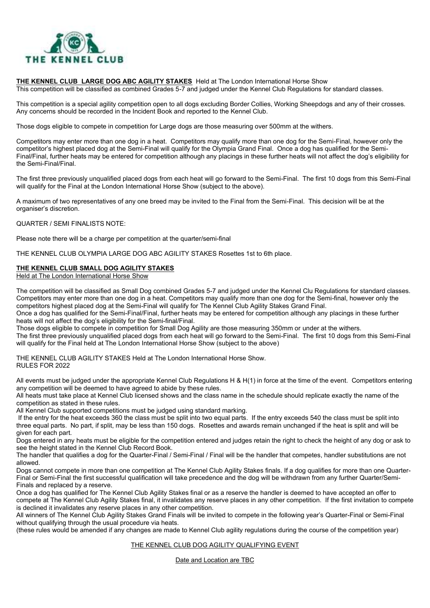

#### **THE KENNEL CLUB LARGE DOG ABC AGILITY STAKES** Held at The London International Horse Show

This competition will be classified as combined Grades 5-7 and judged under the Kennel Club Regulations for standard classes.

This competition is a special agility competition open to all dogs excluding Border Collies, Working Sheepdogs and any of their crosses. Any concerns should be recorded in the Incident Book and reported to the Kennel Club.

Those dogs eligible to compete in competition for Large dogs are those measuring over 500mm at the withers.

Competitors may enter more than one dog in a heat. Competitors may qualify more than one dog for the Semi-Final, however only the competitor's highest placed dog at the Semi-Final will qualify for the Olympia Grand Final. Once a dog has qualified for the Semi-Final/Final, further heats may be entered for competition although any placings in these further heats will not affect the dog's eligibility for the Semi-Final/Final.

The first three previously unqualified placed dogs from each heat will go forward to the Semi-Final. The first 10 dogs from this Semi-Final will qualify for the Final at the London International Horse Show (subject to the above).

A maximum of two representatives of any one breed may be invited to the Final from the Semi-Final. This decision will be at the organiser's discretion.

#### QUARTER / SEMI FINALISTS NOTE:

Please note there will be a charge per competition at the quarter/semi-final

THE KENNEL CLUB OLYMPIA LARGE DOG ABC AGILITY STAKES Rosettes 1st to 6th place.

#### **THE KENNEL CLUB SMALL DOG AGILITY STAKES**

Held at The London International Horse Show

The competition will be classified as Small Dog combined Grades 5-7 and judged under the Kennel Clu Regulations for standard classes. Competitors may enter more than one dog in a heat. Competitors may qualify more than one dog for the Semi-final, however only the competitors highest placed dog at the Semi-Final will qualify for The Kennel Club Agility Stakes Grand Final.

Once a dog has qualified for the Semi-Final/Final, further heats may be entered for competition although any placings in these further heats will not affect the dog's eligibility for the Semi-final/Final.

Those dogs eligible to compete in competition for Small Dog Agility are those measuring 350mm or under at the withers.

The first three previously unqualified placed dogs from each heat will go forward to the Semi-Final. The first 10 dogs from this Semi-Final will qualify for the Final held at The London International Horse Show (subject to the above)

THE KENNEL CLUB AGILITY STAKES Held at The London International Horse Show. RULES FOR 2022

All events must be judged under the appropriate Kennel Club Regulations H & H(1) in force at the time of the event. Competitors entering any competition will be deemed to have agreed to abide by these rules.

All heats must take place at Kennel Club licensed shows and the class name in the schedule should replicate exactly the name of the competition as stated in these rules.

All Kennel Club supported competitions must be judged using standard marking.

If the entry for the heat exceeds 360 the class must be split into two equal parts. If the entry exceeds 540 the class must be split into three equal parts. No part, if split, may be less than 150 dogs. Rosettes and awards remain unchanged if the heat is split and will be given for each part.

Dogs entered in any heats must be eligible for the competition entered and judges retain the right to check the height of any dog or ask to see the height stated in the Kennel Club Record Book.

The handler that qualifies a dog for the Quarter-Final / Semi-Final / Final will be the handler that competes, handler substitutions are not allowed.

Dogs cannot compete in more than one competition at The Kennel Club Agility Stakes finals. If a dog qualifies for more than one Quarter-Final or Semi-Final the first successful qualification will take precedence and the dog will be withdrawn from any further Quarter/Semi-Finals and replaced by a reserve.

Once a dog has qualified for The Kennel Club Agility Stakes final or as a reserve the handler is deemed to have accepted an offer to compete at The Kennel Club Agility Stakes final, it invalidates any reserve places in any other competition. If the first invitation to compete is declined it invalidates any reserve places in any other competition.

All winners of The Kennel Club Agility Stakes Grand Finals will be invited to compete in the following year's Quarter-Final or Semi-Final without qualifying through the usual procedure via heats.

(these rules would be amended if any changes are made to Kennel Club agility regulations during the course of the competition year)

#### THE KENNEL CLUB DOG AGILITY QUALIFYING EVENT

Date and Location are TBC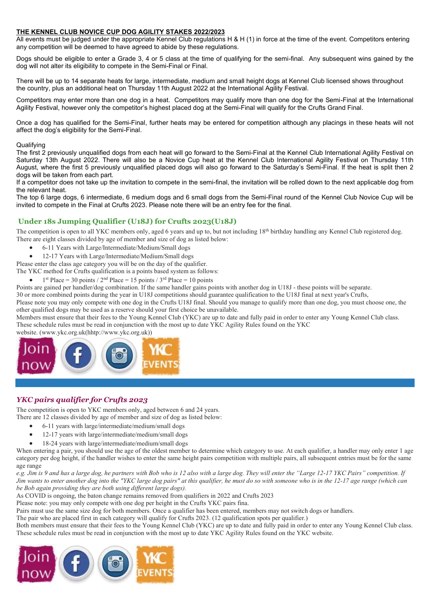#### **THE KENNEL CLUB NOVICE CUP DOG AGILITY STAKES 2022/2023**

All events must be judged under the appropriate Kennel Club regulations H & H (1) in force at the time of the event. Competitors entering any competition will be deemed to have agreed to abide by these regulations.

Dogs should be eligible to enter a Grade 3, 4 or 5 class at the time of qualifying for the semi-final. Any subsequent wins gained by the dog will not alter its eligibility to compete in the Semi-Final or Final.

There will be up to 14 separate heats for large, intermediate, medium and small height dogs at Kennel Club licensed shows throughout the country, plus an additional heat on Thursday 11th August 2022 at the International Agility Festival.

Competitors may enter more than one dog in a heat. Competitors may qualify more than one dog for the Semi-Final at the International Agility Festival, however only the competitor's highest placed dog at the Semi-Final will qualify for the Crufts Grand Final.

Once a dog has qualified for the Semi-Final, further heats may be entered for competition although any placings in these heats will not affect the dog's eligibility for the Semi-Final.

#### **Qualifying**

The first 2 previously unqualified dogs from each heat will go forward to the Semi-Final at the Kennel Club International Agility Festival on Saturday 13th August 2022. There will also be a Novice Cup heat at the Kennel Club International Agility Festival on Thursday 11th August, where the first 5 previously unqualified placed dogs will also go forward to the Saturday's Semi-Final. If the heat is split then 2 dogs will be taken from each part.

If a competitor does not take up the invitation to compete in the semi-final, the invitation will be rolled down to the next applicable dog from the relevant heat.

The top 6 large dogs, 6 intermediate, 6 medium dogs and 6 small dogs from the Semi-Final round of the Kennel Club Novice Cup will be invited to compete in the Final at Crufts 2023. Please note there will be an entry fee for the final.

#### **Under 18s Jumping Qualifier (U18J) for Crufts 2023(U18J)**

The competition is open to all YKC members only, aged 6 years and up to, but not including 18<sup>th</sup> birthday handling any Kennel Club registered dog. There are eight classes divided by age of member and size of dog as listed below:

- 6-11 Years with Large/Intermediate/Medium/Small dogs
- 12-17 Years with Large/Intermediate/Medium/Small dogs
- Please enter the class age category you will be on the day of the qualifier.

The YKC method for Crufts qualification is a points based system as follows:

• 1<sup>st</sup> Place = 30 points / 2<sup>nd</sup> Place = 15 points / 3<sup>rd</sup> Place = 10 points

Points are gained per handler/dog combination. If the same handler gains points with another dog in U18J - these points will be separate.

30 or more combined points during the year in U18J competitions should guarantee qualification to the U18J final at next year's Crufts,

Please note you may only compete with one dog in the Crufts U18J final. Should you manage to qualify more than one dog, you must choose one, the other qualified dogs may be used as a reserve should your first choice be unavailable.

Members must ensure that their fees to the Young Kennel Club (YKC) are up to date and fully paid in order to enter any Young Kennel Club class. These schedule rules must be read in conjunction with the most up to date YKC Agility Rules found on the YKC

website. (www.ykc.org.uk(hhtp://www.ykc.org.uk))



#### *YKC pairs qualifier for Crufts 2023*

The competition is open to YKC members only, aged between 6 and 24 years.

- There are 12 classes divided by age of member and size of dog as listed below:
	- 6-11 years with large/intermediate/medium/small dogs
	- 12-17 years with large/intermediate/medium/small dogs
	- 18-24 years with large/intermediate/medium/small dogs

When entering a pair, you should use the age of the oldest member to determine which category to use. At each qualifier, a handler may only enter 1 age category per dog height, if the handler wishes to enter the same height pairs competition with multiple pairs, all subsequent entries must be for the same age range

*e.g. Jim is 9 and has a large dog, he partners with Bob who is 12 also with a large dog. They will enter the "Large 12-17 YKC Pairs" competition. If Jim wants to enter another dog into the "YKC large dog pairs" at this qualifier, he must do so with someone who is in the 12-17 age range (which can be Bob again providing they are both using different large dogs).*

As COVID is ongoing, the baton change remains removed from qualifiers in 2022 and Crufts 2023

Please note: you may only compete with one dog per height in the Crufts YKC pairs fina.

Pairs must use the same size dog for both members. Once a qualifier has been entered, members may not switch dogs or handlers.

The pair who are placed first in each category will qualify for Crufts 2023. (12 qualification spots per qualifier.)

Both members must ensure that their fees to the Young Kennel Club (YKC) are up to date and fully paid in order to enter any Young Kennel Club class. These schedule rules must be read in conjunction with the most up to date YKC Agility Rules found on the YKC website.

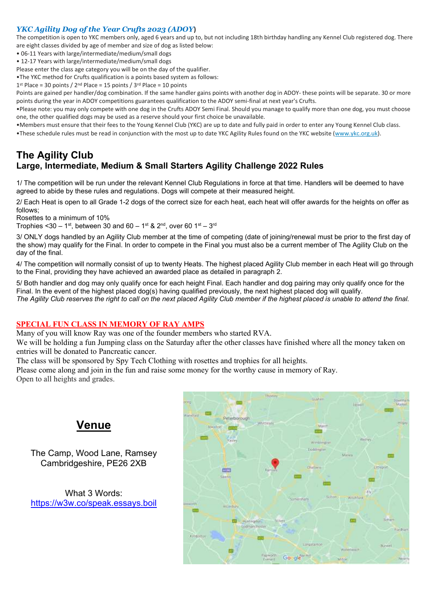#### *YKC Agility Dog of the Year Crufts 2023 (ADOY***)**

The competition is open to YKC members only, aged 6 years and up to, but not including 18th birthday handling any Kennel Club registered dog. There are eight classes divided by age of member and size of dog as listed below:

- 06-11 Years with large/intermediate/medium/small dogs
- 12-17 Years with large/intermediate/medium/small dogs

Please enter the class age category you will be on the day of the qualifier.

•The YKC method for Crufts qualification is a points based system as follows:

 $1<sup>st</sup>$  Place = 30 points /  $2<sup>nd</sup>$  Place = 15 points /  $3<sup>rd</sup>$  Place = 10 points

Points are gained per handler/dog combination. If the same handler gains points with another dog in ADOY- these points will be separate. 30 or more points during the year in ADOY competitions guarantees qualification to the ADOY semi-final at next year's Crufts.

•Please note: you may only compete with one dog in the Crufts ADOY Semi Final. Should you manage to qualify more than one dog, you must choose one, the other qualified dogs may be used as a reserve should your first choice be unavailable.

•Members must ensure that their fees to the Young Kennel Club (YKC) are up to date and fully paid in order to enter any Young Kennel Club class.

•These schedule rules must be read in conjunction with the most up to date YKC Agility Rules found on the YKC website [\(www.ykc.org.uk\)](http://www.ykc.org.uk/).

## **The Agility Club Large, Intermediate, Medium & Small Starters Agility Challenge 2022 Rules**

1/ The competition will be run under the relevant Kennel Club Regulations in force at that time. Handlers will be deemed to have agreed to abide by these rules and regulations. Dogs will compete at their measured height.

2/ Each Heat is open to all Grade 1-2 dogs of the correct size for each heat, each heat will offer awards for the heights on offer as follows;

Rosettes to a minimum of 10%

Trophies <30 – 1 $^{\rm st}$ , between 30 and 60 – 1 $^{\rm st}$  & 2 $^{\rm nd}$ , over 60 1 $^{\rm st}$  – 3 $^{\rm rd}$ 

3/ ONLY dogs handled by an Agility Club member at the time of competing (date of joining/renewal must be prior to the first day of the show) may qualify for the Final. In order to compete in the Final you must also be a current member of The Agility Club on the day of the final.

4/ The competition will normally consist of up to twenty Heats. The highest placed Agility Club member in each Heat will go through to the Final, providing they have achieved an awarded place as detailed in paragraph 2.

5/ Both handler and dog may only qualify once for each height Final. Each handler and dog pairing may only qualify once for the Final. In the event of the highest placed dog(s) having qualified previously, the next highest placed dog will qualify. *The Agility Club reserves the right to call on the next placed Agility Club member if the highest placed is unable to attend the final.*

#### **SPECIAL FUN CLASS IN MEMORY OF RAY AMPS**

Many of you will know Ray was one of the founder members who started RVA.

We will be holding a fun Jumping class on the Saturday after the other classes have finished where all the money taken on entries will be donated to Pancreatic cancer.

The class will be sponsored by Spy Tech Clothing with rosettes and trophies for all heights.

Please come along and join in the fun and raise some money for the worthy cause in memory of Ray. Open to all heights and grades.

## **Venue**

The Camp, Wood Lane, Ramsey Cambridgeshire, PE26 2XB

What 3 Words: <https://w3w.co/speak.essays.boil>

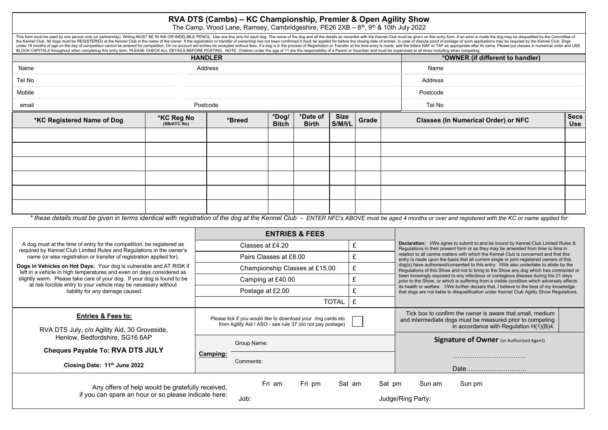## **RVA DTS (Cambs) – KC Championship, Premier & Open Agility Show**

The Camp, Wood Lane, Ramsey, Cambridgeshire, PE26 2XB – 8<sup>th</sup>, 9<sup>th</sup> & 10th July 2022

This form must be used by one person only (or partnership). Writing MUST BE IN INK OR INDELIBLE PENCIL. Use one line only for each dog. The name of the dog and all the details as recorded with the Kennel Club must be given the Kennel Club. All dogs must be REGISTERED at the Kennel Club in the name of the owner. If the registration or transfer of ownership has not been confirmed it must be applied for before the closing date of entries. In ca under 18 months of age on the day of competition cannot be entered for competition. On no account will entries be accepted without fees. If a dog is in the process of Registration or Transfer at the time entry is made, add BLOCK CAPITALS throughout when completing this entry form. PLEASE CHECK ALL DETAILS BEFORE POSTING. NOTE: Children under the age of 11 are the responsibility of a Parent or Guardian and must be supervised at all times incl

|                            | <b>HANDLER</b>                   |         |                       |                          |                        |       | *OWNER (if different to handler)                                                                                                                                                                 |                           |
|----------------------------|----------------------------------|---------|-----------------------|--------------------------|------------------------|-------|--------------------------------------------------------------------------------------------------------------------------------------------------------------------------------------------------|---------------------------|
| Name                       |                                  | Address |                       |                          |                        |       | Name                                                                                                                                                                                             |                           |
| Tel No                     |                                  |         |                       |                          |                        |       | Address                                                                                                                                                                                          |                           |
| Mobile                     |                                  |         |                       |                          |                        |       | Postcode                                                                                                                                                                                         |                           |
| email                      | Postcode                         |         |                       |                          |                        |       | Tel No                                                                                                                                                                                           |                           |
| *KC Registered Name of Dog | <b>*KC Reg No</b><br>(SB/ATC No) | *Breed  | *Dog/<br><b>Bitch</b> | *Date of<br><b>Birth</b> | <b>Size</b><br>S/M/I/L | Grade | <b>Classes (In Numerical Order) or NFC</b>                                                                                                                                                       | <b>Secs</b><br><b>Use</b> |
|                            |                                  |         |                       |                          |                        |       |                                                                                                                                                                                                  |                           |
|                            |                                  |         |                       |                          |                        |       |                                                                                                                                                                                                  |                           |
|                            |                                  |         |                       |                          |                        |       |                                                                                                                                                                                                  |                           |
|                            |                                  |         |                       |                          |                        |       |                                                                                                                                                                                                  |                           |
|                            |                                  |         |                       |                          |                        |       |                                                                                                                                                                                                  |                           |
|                            |                                  |         |                       |                          |                        |       |                                                                                                                                                                                                  |                           |
|                            |                                  |         |                       |                          |                        |       | * these details must be given in terms identical with registration of the dog at the Kennel Club. FNTER NEC's AROVE must be aged 4 months or over and registered with the KC or name applied for |                           |

*\* these details must be given in terms identical with registration of the dog at the Kennel Club - ENTER NFC's ABOVE must be aged 4 months or over and registered with the KC or name applied for*

|                                                                                                                                               |                          | <b>ENTRIES &amp; FEES</b>                                                                                                  |                                       |                                                                                                                                                                                     |  |  |
|-----------------------------------------------------------------------------------------------------------------------------------------------|--------------------------|----------------------------------------------------------------------------------------------------------------------------|---------------------------------------|-------------------------------------------------------------------------------------------------------------------------------------------------------------------------------------|--|--|
| A dog must at the time of entry for the competition, be registered as<br>required by Kennel Club Limited Rules and Regulations in the owner's |                          | Classes at £4.20                                                                                                           | £                                     | <b>Declaration:</b> I/We agree to submit to and be bound by Kennel Club Limited Rules &<br>Regulations in their present form or as they may be amended from time to time in         |  |  |
| name (or else registration or transfer of registration applied for).                                                                          |                          | Pairs Classes at £8.00                                                                                                     |                                       | relation to all canine matters with which the Kennel Club is concerned and that this<br>entry is made upon the basis that all current single or joint registered owners of this     |  |  |
| Dogs in Vehicles on Hot Days: Your dog is vulnerable and AT RISK if<br>left in a vehicle in high temperatures and even on days considered as  |                          | Championship Classes at £15.00                                                                                             | £                                     | dog(s) have authorised/consented to this entry. I/We also undertake to abide by the<br>Regulations of this Show and not to bring to the Show any dog which has contracted or        |  |  |
| slightly warm. Please take care of your dog. If your dog is found to be<br>at risk forcible entry to your vehicle may be necessary without    | £<br>Camping at £40.00   |                                                                                                                            |                                       | been knowingly exposed to any infectious or contagious disease during the 21 days<br>prior to the Show, or which is suffering from a visible condition which adversely affects      |  |  |
| liability for any damage caused.                                                                                                              |                          | Postage at £2.00                                                                                                           |                                       | its health or welfare. I/We further declare that, I believe to the best of my knowledge<br>that dogs are not liable to disqualification under Kennel Club Agility Show Regulations. |  |  |
|                                                                                                                                               |                          | TOTAL                                                                                                                      |                                       |                                                                                                                                                                                     |  |  |
| <b>Entries &amp; Fees to:</b><br>RVA DTS July, c/o Agility Aid, 30 Groveside,                                                                 |                          | Please tick if you would like to download your ring cards etc<br>from Agility Aid / ASO - see rule 37 (do not pay postage) |                                       | Tick box to confirm the owner is aware that small, medium<br>and intermediate dogs must be measured prior to competing<br>in accordance with Regulation $H(1)(B)4$ .                |  |  |
| Henlow, Bedfordshire, SG16 6AP<br><b>Cheques Payable To: RVA DTS JULY</b>                                                                     |                          | Group Name:                                                                                                                |                                       | <b>Signature of Owner</b> (or Authorised Agent)                                                                                                                                     |  |  |
| Closing Date: 11 <sup>th</sup> June 2022                                                                                                      | Camping:                 | Comments:                                                                                                                  |                                       |                                                                                                                                                                                     |  |  |
| Any offers of help would be gratefully received,<br>if you can spare an hour or so please indicate here:                                      | Fri pm<br>Fri am<br>Job: | Sat am<br>Sat pm                                                                                                           | Sun pm<br>Sun am<br>Judge/Ring Party: |                                                                                                                                                                                     |  |  |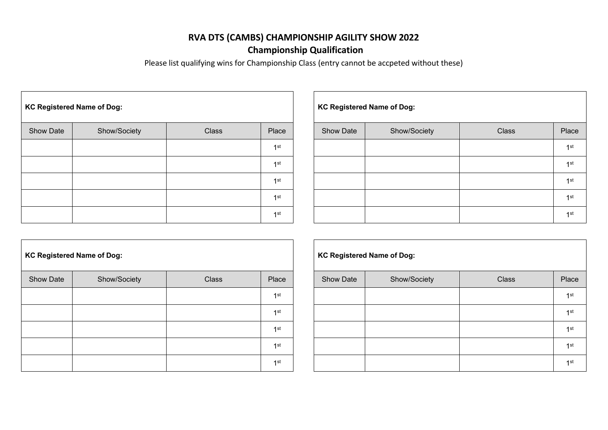## **RVA DTS (CAMBS) CHAMPIONSHIP AGILITY SHOW 2022 Championship Qualification**

Please list qualifying wins for Championship Class (entry cannot be accpeted without these)

| <b>KC Registered Name of Dog:</b> |              |       |                 |  | <b>KC Registered Name of Dog:</b> |              |       |                 |
|-----------------------------------|--------------|-------|-----------------|--|-----------------------------------|--------------|-------|-----------------|
| <b>Show Date</b>                  | Show/Society | Class | Place           |  | <b>Show Date</b>                  | Show/Society | Class | Place           |
|                                   |              |       | 1 <sup>st</sup> |  |                                   |              |       | $1$ st          |
|                                   |              |       | 1 <sup>st</sup> |  |                                   |              |       | $1$ st          |
|                                   |              |       | 1 <sup>st</sup> |  |                                   |              |       | $1$ st          |
|                                   |              |       | 1 <sup>st</sup> |  |                                   |              |       | 1 <sup>st</sup> |
|                                   |              |       | 1st             |  |                                   |              |       | $1$ st          |

|     |                  | <b>KC Registered Name of Dog:</b> |       |                 |  |  |  |  |  |  |
|-----|------------------|-----------------------------------|-------|-----------------|--|--|--|--|--|--|
| ıce | <b>Show Date</b> | Show/Society                      | Class | Place           |  |  |  |  |  |  |
| st  |                  |                                   |       | 1 <sup>st</sup> |  |  |  |  |  |  |
| st  |                  |                                   |       | 1 <sup>st</sup> |  |  |  |  |  |  |
| st  |                  |                                   |       | 1 <sup>st</sup> |  |  |  |  |  |  |
| st  |                  |                                   |       | 1 <sup>st</sup> |  |  |  |  |  |  |
| st  |                  |                                   |       | 1 <sup>st</sup> |  |  |  |  |  |  |

|           | <b>KC Registered Name of Dog:</b> |              | <b>KC Registered Name of Dog:</b> |                  |        |
|-----------|-----------------------------------|--------------|-----------------------------------|------------------|--------|
| Show Date | Show/Society                      | <b>Class</b> | Place                             | <b>Show Date</b> | Show/S |
|           |                                   |              | 1 <sup>st</sup>                   |                  |        |
|           |                                   |              | 1st                               |                  |        |
|           |                                   |              | 1st                               |                  |        |
|           |                                   |              | 1st                               |                  |        |
|           |                                   |              | 1st                               |                  |        |

| C Registered Name of Dog: |              |       |                 |  |                  | <b>KC Registered Name of Dog:</b> |              |       |
|---------------------------|--------------|-------|-----------------|--|------------------|-----------------------------------|--------------|-------|
| <b>Show Date</b>          | Show/Society | Class | Place           |  | <b>Show Date</b> | Show/Society                      | <b>Class</b> | Place |
|                           |              |       | 1st             |  |                  |                                   |              | 1st   |
|                           |              |       | $1$ st          |  |                  |                                   |              | 1st   |
|                           |              |       | 1st             |  |                  |                                   |              | 1st   |
|                           |              |       | 1 <sup>st</sup> |  |                  |                                   |              | 1st   |
|                           |              |       | 1st             |  |                  |                                   |              | 1st   |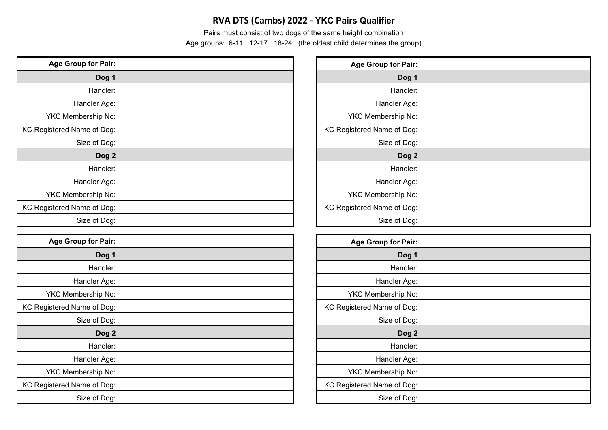## **RVA DTS (Cambs) 2022 - YKC Pairs Qualifier**

Pairs must consist of two dogs of the same height combination

Age groups: 6-11 12-17 18-24 (the oldest child determines the group)

| <b>Age Group for Pair:</b> | Age Group for Pair:        |
|----------------------------|----------------------------|
| Dog 1                      | Dog 1                      |
| Handler:                   | Handler:                   |
| Handler Age:               | Handler Age:               |
| YKC Membership No:         | YKC Membership No:         |
| KC Registered Name of Dog: | KC Registered Name of Dog: |
| Size of Dog:               | Size of Dog:               |
| Dog 2                      | Dog <sub>2</sub>           |
| Handler:                   | Handler:                   |
| Handler Age:               | Handler Age:               |
| YKC Membership No:         | YKC Membership No:         |
| KC Registered Name of Dog: | KC Registered Name of Dog: |
| Size of Dog:               | Size of Dog:               |

| <b>Age Group for Pair:</b> | <b>Age Group for Pair:</b> |
|----------------------------|----------------------------|
| Dog 1                      | Dog 1                      |
| Handler:                   | Handler:                   |
| Handler Age:               | Handler Age:               |
| YKC Membership No:         | YKC Membership No:         |
| KC Registered Name of Dog: | KC Registered Name of Dog: |
| Size of Dog:               | Size of Dog:               |
| Dog 2                      | Dog <sub>2</sub>           |
| Handler:                   | Handler:                   |
| Handler Age:               | Handler Age:               |
| YKC Membership No:         | YKC Membership No:         |
| KC Registered Name of Dog: | KC Registered Name of Dog: |
| Size of Dog:               | Size of Dog:               |

| <b>Age Group for Pair:</b> |  |
|----------------------------|--|
| Dog 1                      |  |
| Handler:                   |  |
| Handler Age:               |  |
| YKC Membership No:         |  |
| KC Registered Name of Dog: |  |
| Size of Dog:               |  |
| Dog <sub>2</sub>           |  |
| Handler:                   |  |
| Handler Age:               |  |
| YKC Membership No:         |  |
| KC Registered Name of Dog: |  |
| Size of Dog:               |  |

| <b>Age Group for Pair:</b> |  |
|----------------------------|--|
| Dog 1                      |  |
| Handler:                   |  |
| Handler Age:               |  |
| YKC Membership No:         |  |
| KC Registered Name of Dog: |  |
| Size of Dog:               |  |
| Dog <sub>2</sub>           |  |
| Handler:                   |  |
| Handler Age:               |  |
| YKC Membership No:         |  |
| KC Registered Name of Dog: |  |
| Size of Dog:               |  |